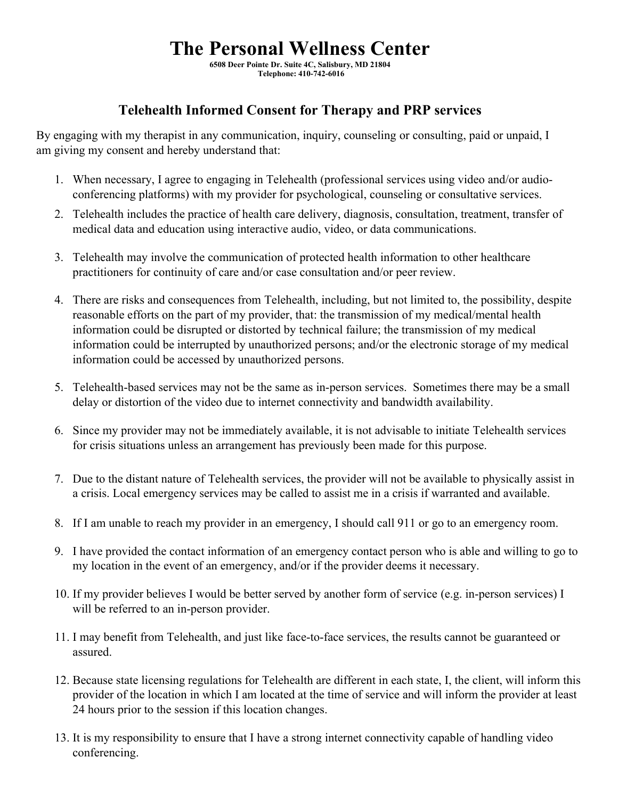## **The Personal Wellness Center**

**6508 Deer Pointe Dr. Suite 4C, Salisbury, MD 21804 Telephone: 410-742-6016** 

## **Telehealth Informed Consent for Therapy and PRP services**

By engaging with my therapist in any communication, inquiry, counseling or consulting, paid or unpaid, I am giving my consent and hereby understand that:

- 1. When necessary, I agree to engaging in Telehealth (professional services using video and/or audioconferencing platforms) with my provider for psychological, counseling or consultative services.
- 2. Telehealth includes the practice of health care delivery, diagnosis, consultation, treatment, transfer of medical data and education using interactive audio, video, or data communications.
- 3. Telehealth may involve the communication of protected health information to other healthcare practitioners for continuity of care and/or case consultation and/or peer review.
- 4. There are risks and consequences from Telehealth, including, but not limited to, the possibility, despite reasonable efforts on the part of my provider, that: the transmission of my medical/mental health information could be disrupted or distorted by technical failure; the transmission of my medical information could be interrupted by unauthorized persons; and/or the electronic storage of my medical information could be accessed by unauthorized persons.
- 5. Telehealth-based services may not be the same as in-person services. Sometimes there may be a small delay or distortion of the video due to internet connectivity and bandwidth availability.
- 6. Since my provider may not be immediately available, it is not advisable to initiate Telehealth services for crisis situations unless an arrangement has previously been made for this purpose.
- 7. Due to the distant nature of Telehealth services, the provider will not be available to physically assist in a crisis. Local emergency services may be called to assist me in a crisis if warranted and available.
- 8. If I am unable to reach my provider in an emergency, I should call 911 or go to an emergency room.
- 9. I have provided the contact information of an emergency contact person who is able and willing to go to my location in the event of an emergency, and/or if the provider deems it necessary.
- 10. If my provider believes I would be better served by another form of service (e.g. in-person services) I will be referred to an in-person provider.
- 11. I may benefit from Telehealth, and just like face-to-face services, the results cannot be guaranteed or assured.
- 12. Because state licensing regulations for Telehealth are different in each state, I, the client, will inform this provider of the location in which I am located at the time of service and will inform the provider at least 24 hours prior to the session if this location changes.
- 13. It is my responsibility to ensure that I have a strong internet connectivity capable of handling video conferencing.